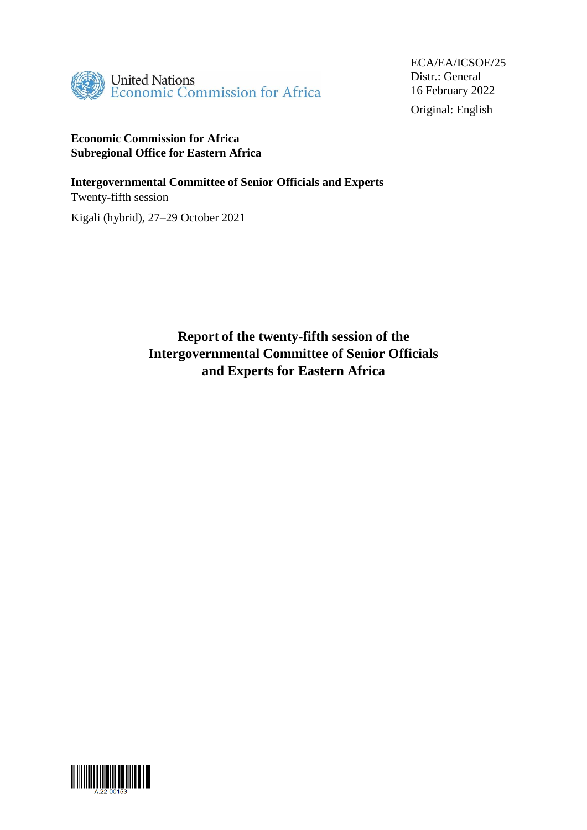

Original: English

# **Economic Commission for Africa Subregional Office for Eastern Africa**

**Intergovernmental Committee of Senior Officials and Experts** Twenty-fifth session

Kigali (hybrid), 27–29 October 2021

**Report of the twenty-fifth session of the Intergovernmental Committee of Senior Officials and Experts for Eastern Africa**

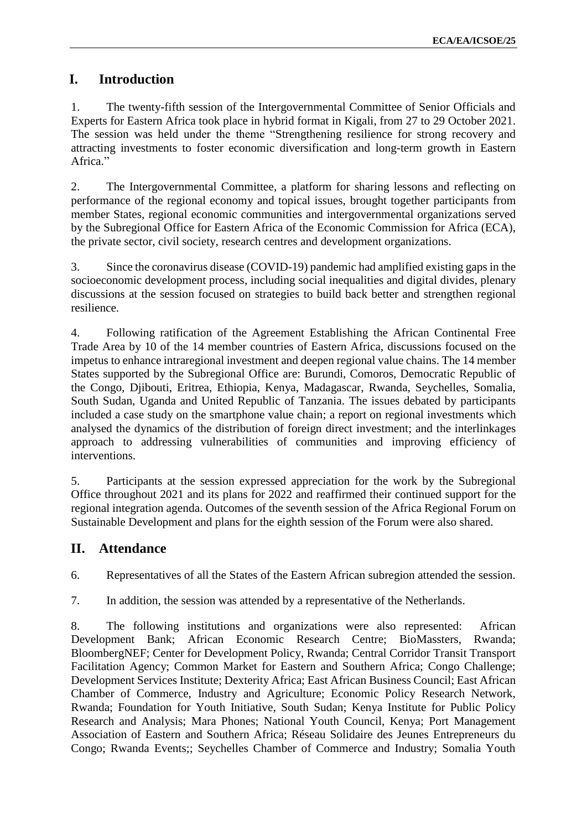# **I. Introduction**

1. The twenty-fifth session of the Intergovernmental Committee of Senior Officials and Experts for Eastern Africa took place in hybrid format in Kigali, from 27 to 29 October 2021. The session was held under the theme "Strengthening resilience for strong recovery and attracting investments to foster economic diversification and long-term growth in Eastern Africa."

2. The Intergovernmental Committee, a platform for sharing lessons and reflecting on performance of the regional economy and topical issues, brought together participants from member States, regional economic communities and intergovernmental organizations served by the Subregional Office for Eastern Africa of the Economic Commission for Africa (ECA), the private sector, civil society, research centres and development organizations.

3. Since the coronavirus disease (COVID-19) pandemic had amplified existing gaps in the socioeconomic development process, including social inequalities and digital divides, plenary discussions at the session focused on strategies to build back better and strengthen regional resilience.

4. Following ratification of the Agreement Establishing the African Continental Free Trade Area by 10 of the 14 member countries of Eastern Africa, discussions focused on the impetus to enhance intraregional investment and deepen regional value chains. The 14 member States supported by the Subregional Office are: Burundi, Comoros, Democratic Republic of the Congo, Djibouti, Eritrea, Ethiopia, Kenya, Madagascar, Rwanda, Seychelles, Somalia, South Sudan, Uganda and United Republic of Tanzania. The issues debated by participants included a case study on the smartphone value chain; a report on regional investments which analysed the dynamics of the distribution of foreign direct investment; and the interlinkages approach to addressing vulnerabilities of communities and improving efficiency of interventions.

5. Participants at the session expressed appreciation for the work by the Subregional Office throughout 2021 and its plans for 2022 and reaffirmed their continued support for the regional integration agenda. Outcomes of the seventh session of the Africa Regional Forum on Sustainable Development and plans for the eighth session of the Forum were also shared.

# **II. Attendance**

6. Representatives of all the States of the Eastern African subregion attended the session.

7. In addition, the session was attended by a representative of the Netherlands.

8. The following institutions and organizations were also represented: African Development Bank; African Economic Research Centre; BioMassters, Rwanda; BloombergNEF; Center for Development Policy, Rwanda; Central Corridor Transit Transport Facilitation Agency; Common Market for Eastern and Southern Africa; Congo Challenge; Development Services Institute; Dexterity Africa; East African Business Council; East African Chamber of Commerce, Industry and Agriculture; Economic Policy Research Network, Rwanda; Foundation for Youth Initiative, South Sudan; Kenya Institute for Public Policy Research and Analysis; Mara Phones; National Youth Council, Kenya; Port Management Association of Eastern and Southern Africa; Réseau Solidaire des Jeunes Entrepreneurs du Congo; Rwanda Events;; Seychelles Chamber of Commerce and Industry; Somalia Youth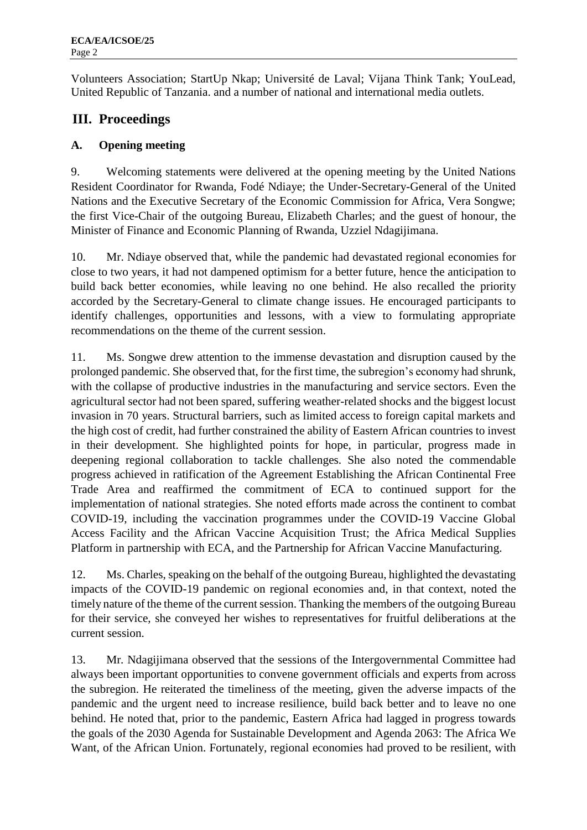Volunteers Association; StartUp Nkap; Université de Laval; Vijana Think Tank; YouLead, United Republic of Tanzania. and a number of national and international media outlets.

# **III. Proceedings**

## **A. Opening meeting**

9. Welcoming statements were delivered at the opening meeting by the United Nations Resident Coordinator for Rwanda, Fodé Ndiaye; the Under-Secretary-General of the United Nations and the Executive Secretary of the Economic Commission for Africa, Vera Songwe; the first Vice-Chair of the outgoing Bureau, Elizabeth Charles; and the guest of honour, the Minister of Finance and Economic Planning of Rwanda, Uzziel Ndagijimana.

10. Mr. Ndiaye observed that, while the pandemic had devastated regional economies for close to two years, it had not dampened optimism for a better future, hence the anticipation to build back better economies, while leaving no one behind. He also recalled the priority accorded by the Secretary-General to climate change issues. He encouraged participants to identify challenges, opportunities and lessons, with a view to formulating appropriate recommendations on the theme of the current session.

11. Ms. Songwe drew attention to the immense devastation and disruption caused by the prolonged pandemic. She observed that, for the first time, the subregion's economy had shrunk, with the collapse of productive industries in the manufacturing and service sectors. Even the agricultural sector had not been spared, suffering weather-related shocks and the biggest locust invasion in 70 years. Structural barriers, such as limited access to foreign capital markets and the high cost of credit, had further constrained the ability of Eastern African countries to invest in their development. She highlighted points for hope, in particular, progress made in deepening regional collaboration to tackle challenges. She also noted the commendable progress achieved in ratification of the Agreement Establishing the African Continental Free Trade Area and reaffirmed the commitment of ECA to continued support for the implementation of national strategies. She noted efforts made across the continent to combat COVID-19, including the vaccination programmes under the COVID-19 Vaccine Global Access Facility and the African Vaccine Acquisition Trust; the Africa Medical Supplies Platform in partnership with ECA, and the Partnership for African Vaccine Manufacturing.

12. Ms. Charles, speaking on the behalf of the outgoing Bureau, highlighted the devastating impacts of the COVID-19 pandemic on regional economies and, in that context, noted the timely nature of the theme of the current session. Thanking the members of the outgoing Bureau for their service, she conveyed her wishes to representatives for fruitful deliberations at the current session.

13. Mr*.* Ndagijimana observed that the sessions of the Intergovernmental Committee had always been important opportunities to convene government officials and experts from across the subregion. He reiterated the timeliness of the meeting, given the adverse impacts of the pandemic and the urgent need to increase resilience, build back better and to leave no one behind. He noted that, prior to the pandemic, Eastern Africa had lagged in progress towards the goals of the 2030 Agenda for Sustainable Development and Agenda 2063: The Africa We Want, of the African Union. Fortunately, regional economies had proved to be resilient, with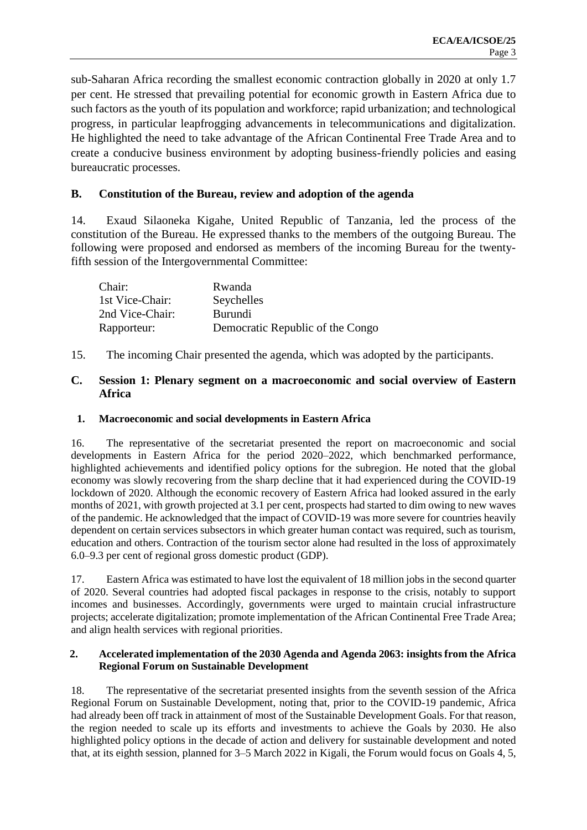sub-Saharan Africa recording the smallest economic contraction globally in 2020 at only 1.7 per cent. He stressed that prevailing potential for economic growth in Eastern Africa due to such factors as the youth of its population and workforce; rapid urbanization; and technological progress, in particular leapfrogging advancements in telecommunications and digitalization. He highlighted the need to take advantage of the African Continental Free Trade Area and to create a conducive business environment by adopting business-friendly policies and easing bureaucratic processes.

## **B. Constitution of the Bureau, review and adoption of the agenda**

14. Exaud Silaoneka Kigahe, United Republic of Tanzania, led the process of the constitution of the Bureau. He expressed thanks to the members of the outgoing Bureau. The following were proposed and endorsed as members of the incoming Bureau for the twentyfifth session of the Intergovernmental Committee:

| Chair:          | Rwanda                           |
|-----------------|----------------------------------|
| 1st Vice-Chair: | Seychelles                       |
| 2nd Vice-Chair: | <b>Burundi</b>                   |
| Rapporteur:     | Democratic Republic of the Congo |

15. The incoming Chair presented the agenda, which was adopted by the participants.

#### **C. Session 1: Plenary segment on a macroeconomic and social overview of Eastern Africa**

### **1. Macroeconomic and social developments in Eastern Africa**

16. The representative of the secretariat presented the report on macroeconomic and social developments in Eastern Africa for the period 2020–2022, which benchmarked performance, highlighted achievements and identified policy options for the subregion. He noted that the global economy was slowly recovering from the sharp decline that it had experienced during the COVID-19 lockdown of 2020. Although the economic recovery of Eastern Africa had looked assured in the early months of 2021, with growth projected at 3.1 per cent, prospects had started to dim owing to new waves of the pandemic. He acknowledged that the impact of COVID-19 was more severe for countries heavily dependent on certain services subsectors in which greater human contact was required, such as tourism, education and others. Contraction of the tourism sector alone had resulted in the loss of approximately 6.0–9.3 per cent of regional gross domestic product (GDP).

17. Eastern Africa was estimated to have lost the equivalent of 18 million jobs in the second quarter of 2020. Several countries had adopted fiscal packages in response to the crisis, notably to support incomes and businesses. Accordingly, governments were urged to maintain crucial infrastructure projects; accelerate digitalization; promote implementation of the African Continental Free Trade Area; and align health services with regional priorities.

#### **2. Accelerated implementation of the 2030 Agenda and Agenda 2063: insights from the Africa Regional Forum on Sustainable Development**

18. The representative of the secretariat presented insights from the seventh session of the Africa Regional Forum on Sustainable Development, noting that, prior to the COVID-19 pandemic, Africa had already been off track in attainment of most of the Sustainable Development Goals. For that reason, the region needed to scale up its efforts and investments to achieve the Goals by 2030. He also highlighted policy options in the decade of action and delivery for sustainable development and noted that, at its eighth session, planned for 3–5 March 2022 in Kigali, the Forum would focus on Goals 4, 5,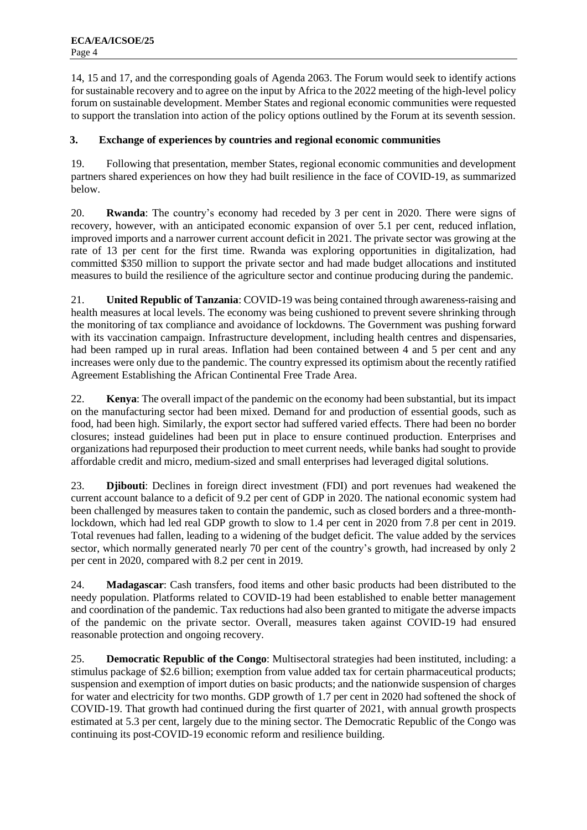14, 15 and 17, and the corresponding goals of Agenda 2063. The Forum would seek to identify actions for sustainable recovery and to agree on the input by Africa to the 2022 meeting of the high-level policy forum on sustainable development. Member States and regional economic communities were requested to support the translation into action of the policy options outlined by the Forum at its seventh session.

### **3. Exchange of experiences by countries and regional economic communities**

19. Following that presentation, member States, regional economic communities and development partners shared experiences on how they had built resilience in the face of COVID-19, as summarized below.

20. **Rwanda**: The country's economy had receded by 3 per cent in 2020. There were signs of recovery, however, with an anticipated economic expansion of over 5.1 per cent, reduced inflation, improved imports and a narrower current account deficit in 2021. The private sector was growing at the rate of 13 per cent for the first time. Rwanda was exploring opportunities in digitalization, had committed \$350 million to support the private sector and had made budget allocations and instituted measures to build the resilience of the agriculture sector and continue producing during the pandemic.

21. **United Republic of Tanzania**: COVID-19 was being contained through awareness-raising and health measures at local levels. The economy was being cushioned to prevent severe shrinking through the monitoring of tax compliance and avoidance of lockdowns. The Government was pushing forward with its vaccination campaign. Infrastructure development, including health centres and dispensaries, had been ramped up in rural areas. Inflation had been contained between 4 and 5 per cent and any increases were only due to the pandemic. The country expressed its optimism about the recently ratified Agreement Establishing the African Continental Free Trade Area.

22. **Kenya**: The overall impact of the pandemic on the economy had been substantial, but its impact on the manufacturing sector had been mixed. Demand for and production of essential goods, such as food, had been high. Similarly, the export sector had suffered varied effects. There had been no border closures; instead guidelines had been put in place to ensure continued production. Enterprises and organizations had repurposed their production to meet current needs, while banks had sought to provide affordable credit and micro, medium-sized and small enterprises had leveraged digital solutions.

23. **Djibouti**: Declines in foreign direct investment (FDI) and port revenues had weakened the current account balance to a deficit of 9.2 per cent of GDP in 2020. The national economic system had been challenged by measures taken to contain the pandemic, such as closed borders and a three-monthlockdown, which had led real GDP growth to slow to 1.4 per cent in 2020 from 7.8 per cent in 2019. Total revenues had fallen, leading to a widening of the budget deficit. The value added by the services sector, which normally generated nearly 70 per cent of the country's growth, had increased by only 2 per cent in 2020, compared with 8.2 per cent in 2019.

24. **Madagascar**: Cash transfers, food items and other basic products had been distributed to the needy population. Platforms related to COVID-19 had been established to enable better management and coordination of the pandemic. Tax reductions had also been granted to mitigate the adverse impacts of the pandemic on the private sector. Overall, measures taken against COVID-19 had ensured reasonable protection and ongoing recovery.

25. **Democratic Republic of the Congo**: Multisectoral strategies had been instituted, including: a stimulus package of \$2.6 billion; exemption from value added tax for certain pharmaceutical products; suspension and exemption of import duties on basic products; and the nationwide suspension of charges for water and electricity for two months. GDP growth of 1.7 per cent in 2020 had softened the shock of COVID-19. That growth had continued during the first quarter of 2021, with annual growth prospects estimated at 5.3 per cent, largely due to the mining sector. The Democratic Republic of the Congo was continuing its post-COVID-19 economic reform and resilience building.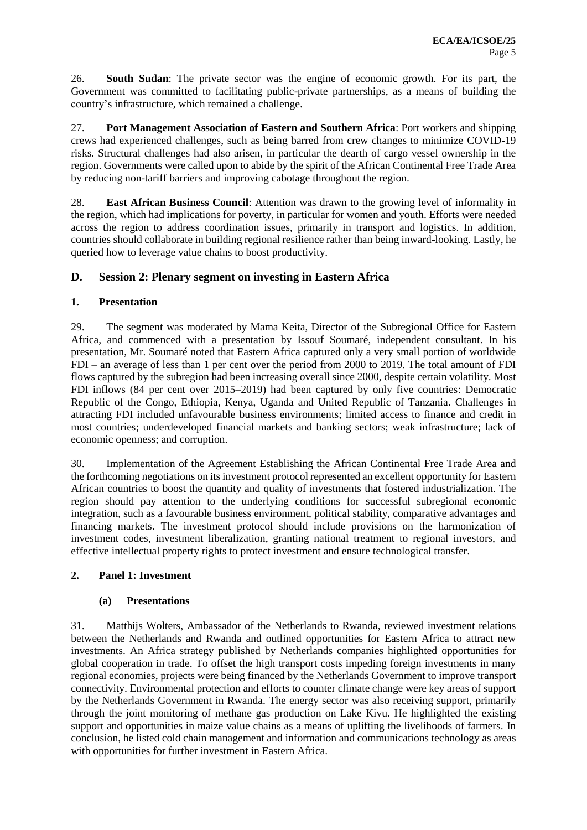26. **South Sudan**: The private sector was the engine of economic growth. For its part, the Government was committed to facilitating public-private partnerships, as a means of building the country's infrastructure, which remained a challenge.

27. **Port Management Association of Eastern and Southern Africa**: Port workers and shipping crews had experienced challenges, such as being barred from crew changes to minimize COVID-19 risks. Structural challenges had also arisen, in particular the dearth of cargo vessel ownership in the region. Governments were called upon to abide by the spirit of the African Continental Free Trade Area by reducing non-tariff barriers and improving cabotage throughout the region.

28. **East African Business Council**: Attention was drawn to the growing level of informality in the region, which had implications for poverty, in particular for women and youth. Efforts were needed across the region to address coordination issues, primarily in transport and logistics. In addition, countries should collaborate in building regional resilience rather than being inward-looking. Lastly, he queried how to leverage value chains to boost productivity.

#### **D. Session 2: Plenary segment on investing in Eastern Africa**

#### **1. Presentation**

29. The segment was moderated by Mama Keita, Director of the Subregional Office for Eastern Africa, and commenced with a presentation by Issouf Soumaré, independent consultant. In his presentation, Mr. Soumaré noted that Eastern Africa captured only a very small portion of worldwide FDI – an average of less than 1 per cent over the period from 2000 to 2019. The total amount of FDI flows captured by the subregion had been increasing overall since 2000, despite certain volatility. Most FDI inflows (84 per cent over 2015–2019) had been captured by only five countries: Democratic Republic of the Congo, Ethiopia, Kenya, Uganda and United Republic of Tanzania. Challenges in attracting FDI included unfavourable business environments; limited access to finance and credit in most countries; underdeveloped financial markets and banking sectors; weak infrastructure; lack of economic openness; and corruption.

30. Implementation of the Agreement Establishing the African Continental Free Trade Area and the forthcoming negotiations on its investment protocol represented an excellent opportunity for Eastern African countries to boost the quantity and quality of investments that fostered industrialization. The region should pay attention to the underlying conditions for successful subregional economic integration, such as a favourable business environment, political stability, comparative advantages and financing markets. The investment protocol should include provisions on the harmonization of investment codes, investment liberalization, granting national treatment to regional investors, and effective intellectual property rights to protect investment and ensure technological transfer.

#### **2. Panel 1: Investment**

#### **(a) Presentations**

31. Matthijs Wolters, Ambassador of the Netherlands to Rwanda, reviewed investment relations between the Netherlands and Rwanda and outlined opportunities for Eastern Africa to attract new investments. An Africa strategy published by Netherlands companies highlighted opportunities for global cooperation in trade. To offset the high transport costs impeding foreign investments in many regional economies, projects were being financed by the Netherlands Government to improve transport connectivity. Environmental protection and efforts to counter climate change were key areas of support by the Netherlands Government in Rwanda. The energy sector was also receiving support, primarily through the joint monitoring of methane gas production on Lake Kivu. He highlighted the existing support and opportunities in maize value chains as a means of uplifting the livelihoods of farmers. In conclusion, he listed cold chain management and information and communications technology as areas with opportunities for further investment in Eastern Africa.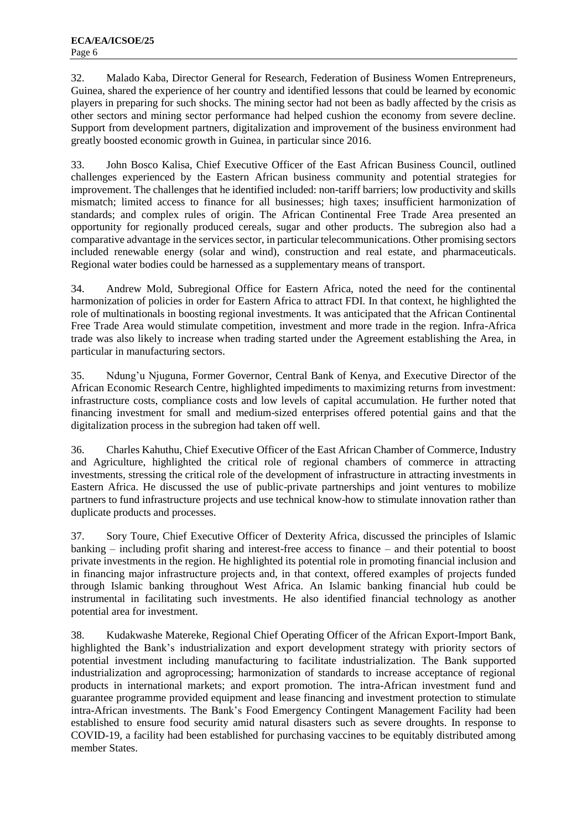32. Malado Kaba, Director General for Research, Federation of Business Women Entrepreneurs, Guinea, shared the experience of her country and identified lessons that could be learned by economic players in preparing for such shocks. The mining sector had not been as badly affected by the crisis as other sectors and mining sector performance had helped cushion the economy from severe decline. Support from development partners, digitalization and improvement of the business environment had greatly boosted economic growth in Guinea, in particular since 2016.

33. John Bosco Kalisa, Chief Executive Officer of the East African Business Council, outlined challenges experienced by the Eastern African business community and potential strategies for improvement. The challenges that he identified included: non-tariff barriers; low productivity and skills mismatch; limited access to finance for all businesses; high taxes; insufficient harmonization of standards; and complex rules of origin. The African Continental Free Trade Area presented an opportunity for regionally produced cereals, sugar and other products. The subregion also had a comparative advantage in the services sector, in particular telecommunications. Other promising sectors included renewable energy (solar and wind), construction and real estate, and pharmaceuticals. Regional water bodies could be harnessed as a supplementary means of transport.

34. Andrew Mold, Subregional Office for Eastern Africa, noted the need for the continental harmonization of policies in order for Eastern Africa to attract FDI. In that context, he highlighted the role of multinationals in boosting regional investments. It was anticipated that the African Continental Free Trade Area would stimulate competition, investment and more trade in the region. Infra-Africa trade was also likely to increase when trading started under the Agreement establishing the Area, in particular in manufacturing sectors.

35. Ndung'u Njuguna, Former Governor, Central Bank of Kenya, and Executive Director of the African Economic Research Centre, highlighted impediments to maximizing returns from investment: infrastructure costs, compliance costs and low levels of capital accumulation. He further noted that financing investment for small and medium-sized enterprises offered potential gains and that the digitalization process in the subregion had taken off well.

36. Charles Kahuthu, Chief Executive Officer of the East African Chamber of Commerce, Industry and Agriculture, highlighted the critical role of regional chambers of commerce in attracting investments, stressing the critical role of the development of infrastructure in attracting investments in Eastern Africa. He discussed the use of public-private partnerships and joint ventures to mobilize partners to fund infrastructure projects and use technical know-how to stimulate innovation rather than duplicate products and processes.

37. Sory Toure, Chief Executive Officer of Dexterity Africa, discussed the principles of Islamic banking – including profit sharing and interest-free access to finance – and their potential to boost private investments in the region. He highlighted its potential role in promoting financial inclusion and in financing major infrastructure projects and, in that context, offered examples of projects funded through Islamic banking throughout West Africa. An Islamic banking financial hub could be instrumental in facilitating such investments. He also identified financial technology as another potential area for investment.

38. Kudakwashe Matereke, Regional Chief Operating Officer of the African Export-Import Bank, highlighted the Bank's industrialization and export development strategy with priority sectors of potential investment including manufacturing to facilitate industrialization. The Bank supported industrialization and agroprocessing; harmonization of standards to increase acceptance of regional products in international markets; and export promotion. The intra-African investment fund and guarantee programme provided equipment and lease financing and investment protection to stimulate intra-African investments. The Bank's Food Emergency Contingent Management Facility had been established to ensure food security amid natural disasters such as severe droughts. In response to COVID-19, a facility had been established for purchasing vaccines to be equitably distributed among member States.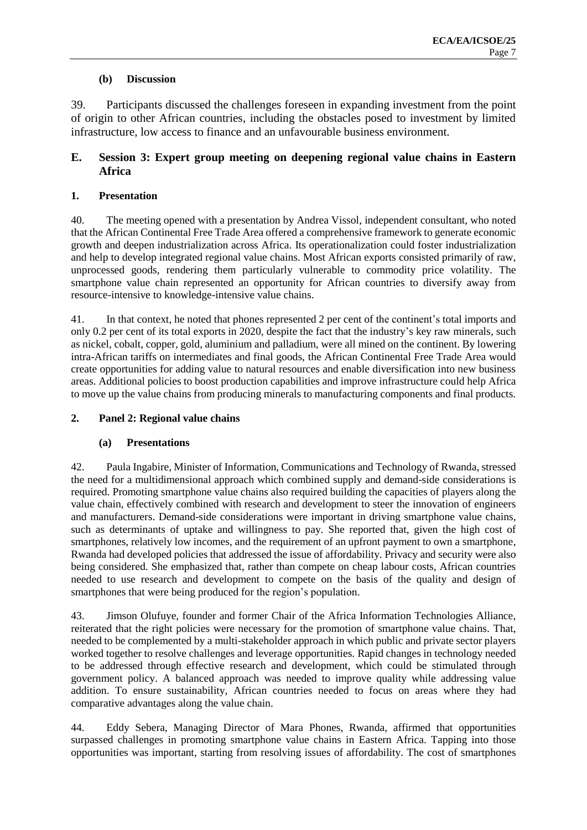#### **(b) Discussion**

39. Participants discussed the challenges foreseen in expanding investment from the point of origin to other African countries, including the obstacles posed to investment by limited infrastructure, low access to finance and an unfavourable business environment.

## **E. Session 3: Expert group meeting on deepening regional value chains in Eastern Africa**

#### **1. Presentation**

40. The meeting opened with a presentation by Andrea Vissol, independent consultant, who noted that the African Continental Free Trade Area offered a comprehensive framework to generate economic growth and deepen industrialization across Africa. Its operationalization could foster industrialization and help to develop integrated regional value chains. Most African exports consisted primarily of raw, unprocessed goods, rendering them particularly vulnerable to commodity price volatility. The smartphone value chain represented an opportunity for African countries to diversify away from resource-intensive to knowledge-intensive value chains.

41. In that context, he noted that phones represented 2 per cent of the continent's total imports and only 0.2 per cent of its total exports in 2020, despite the fact that the industry's key raw minerals, such as nickel, cobalt, copper, gold, aluminium and palladium, were all mined on the continent. By lowering intra-African tariffs on intermediates and final goods, the African Continental Free Trade Area would create opportunities for adding value to natural resources and enable diversification into new business areas. Additional policies to boost production capabilities and improve infrastructure could help Africa to move up the value chains from producing minerals to manufacturing components and final products.

#### **2. Panel 2: Regional value chains**

## **(a) Presentations**

42. Paula Ingabire, Minister of Information, Communications and Technology of Rwanda, stressed the need for a multidimensional approach which combined supply and demand-side considerations is required. Promoting smartphone value chains also required building the capacities of players along the value chain, effectively combined with research and development to steer the innovation of engineers and manufacturers. Demand-side considerations were important in driving smartphone value chains, such as determinants of uptake and willingness to pay. She reported that, given the high cost of smartphones, relatively low incomes, and the requirement of an upfront payment to own a smartphone, Rwanda had developed policies that addressed the issue of affordability. Privacy and security were also being considered. She emphasized that, rather than compete on cheap labour costs, African countries needed to use research and development to compete on the basis of the quality and design of smartphones that were being produced for the region's population.

43. Jimson Olufuye, founder and former Chair of the Africa Information Technologies Alliance, reiterated that the right policies were necessary for the promotion of smartphone value chains. That, needed to be complemented by a multi-stakeholder approach in which public and private sector players worked together to resolve challenges and leverage opportunities. Rapid changes in technology needed to be addressed through effective research and development, which could be stimulated through government policy. A balanced approach was needed to improve quality while addressing value addition. To ensure sustainability, African countries needed to focus on areas where they had comparative advantages along the value chain.

44. Eddy Sebera, Managing Director of Mara Phones, Rwanda, affirmed that opportunities surpassed challenges in promoting smartphone value chains in Eastern Africa. Tapping into those opportunities was important, starting from resolving issues of affordability. The cost of smartphones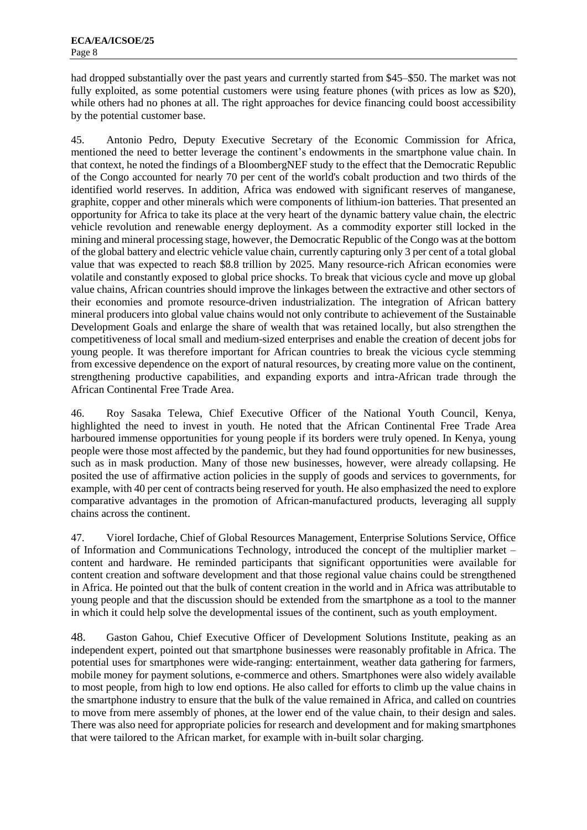had dropped substantially over the past years and currently started from \$45–\$50. The market was not fully exploited, as some potential customers were using feature phones (with prices as low as \$20), while others had no phones at all. The right approaches for device financing could boost accessibility by the potential customer base.

45. Antonio Pedro, Deputy Executive Secretary of the Economic Commission for Africa, mentioned the need to better leverage the continent's endowments in the smartphone value chain. In that context, he noted the findings of a BloombergNEF study to the effect that the Democratic Republic of the Congo accounted for nearly 70 per cent of the world's cobalt production and two thirds of the identified world reserves. In addition, Africa was endowed with significant reserves of manganese, graphite, copper and other minerals which were components of lithium-ion batteries. That presented an opportunity for Africa to take its place at the very heart of the dynamic battery value chain, the electric vehicle revolution and renewable energy deployment. As a commodity exporter still locked in the mining and mineral processing stage, however, the Democratic Republic of the Congo was at the bottom of the global battery and electric vehicle value chain, currently capturing only 3 per cent of a total global value that was expected to reach \$8.8 trillion by 2025. Many resource-rich African economies were volatile and constantly exposed to global price shocks. To break that vicious cycle and move up global value chains, African countries should improve the linkages between the extractive and other sectors of their economies and promote resource-driven industrialization. The integration of African battery mineral producers into global value chains would not only contribute to achievement of the Sustainable Development Goals and enlarge the share of wealth that was retained locally, but also strengthen the competitiveness of local small and medium-sized enterprises and enable the creation of decent jobs for young people. It was therefore important for African countries to break the vicious cycle stemming from excessive dependence on the export of natural resources, by creating more value on the continent, strengthening productive capabilities, and expanding exports and intra-African trade through the African Continental Free Trade Area.

46. Roy Sasaka Telewa, Chief Executive Officer of the National Youth Council, Kenya, highlighted the need to invest in youth. He noted that the African Continental Free Trade Area harboured immense opportunities for young people if its borders were truly opened. In Kenya, young people were those most affected by the pandemic, but they had found opportunities for new businesses, such as in mask production. Many of those new businesses, however, were already collapsing. He posited the use of affirmative action policies in the supply of goods and services to governments, for example, with 40 per cent of contracts being reserved for youth. He also emphasized the need to explore comparative advantages in the promotion of African-manufactured products, leveraging all supply chains across the continent.

47. Viorel Iordache, Chief of Global Resources Management, Enterprise Solutions Service, Office of Information and Communications Technology, introduced the concept of the multiplier market – content and hardware. He reminded participants that significant opportunities were available for content creation and software development and that those regional value chains could be strengthened in Africa. He pointed out that the bulk of content creation in the world and in Africa was attributable to young people and that the discussion should be extended from the smartphone as a tool to the manner in which it could help solve the developmental issues of the continent, such as youth employment.

48. Gaston Gahou, Chief Executive Officer of Development Solutions Institute, peaking as an independent expert, pointed out that smartphone businesses were reasonably profitable in Africa. The potential uses for smartphones were wide-ranging: entertainment, weather data gathering for farmers, mobile money for payment solutions, e-commerce and others. Smartphones were also widely available to most people, from high to low end options. He also called for efforts to climb up the value chains in the smartphone industry to ensure that the bulk of the value remained in Africa, and called on countries to move from mere assembly of phones, at the lower end of the value chain, to their design and sales. There was also need for appropriate policies for research and development and for making smartphones that were tailored to the African market, for example with in-built solar charging.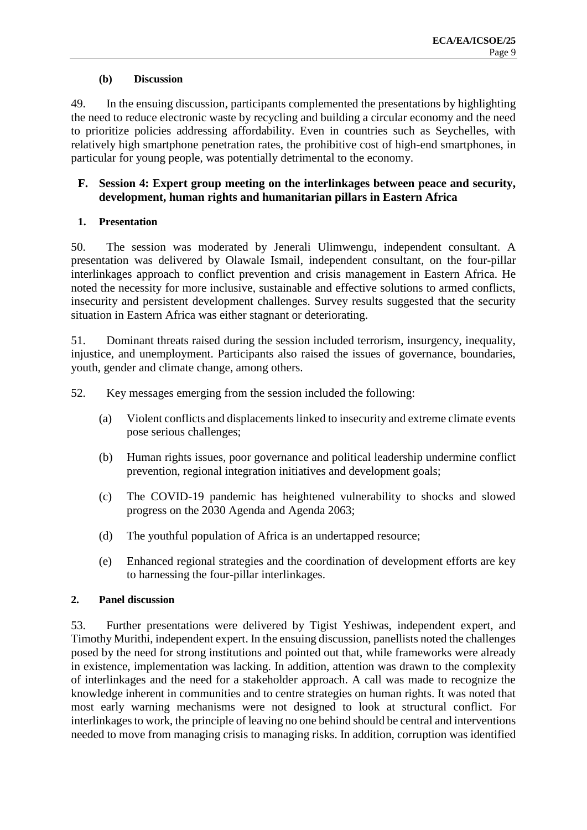#### **(b) Discussion**

49. In the ensuing discussion, participants complemented the presentations by highlighting the need to reduce electronic waste by recycling and building a circular economy and the need to prioritize policies addressing affordability. Even in countries such as Seychelles, with relatively high smartphone penetration rates, the prohibitive cost of high-end smartphones, in particular for young people, was potentially detrimental to the economy.

## **F. Session 4: Expert group meeting on the interlinkages between peace and security, development, human rights and humanitarian pillars in Eastern Africa**

## **1. Presentation**

50. The session was moderated by Jenerali Ulimwengu, independent consultant. A presentation was delivered by Olawale Ismail, independent consultant, on the four-pillar interlinkages approach to conflict prevention and crisis management in Eastern Africa. He noted the necessity for more inclusive, sustainable and effective solutions to armed conflicts, insecurity and persistent development challenges. Survey results suggested that the security situation in Eastern Africa was either stagnant or deteriorating.

51. Dominant threats raised during the session included terrorism, insurgency, inequality, injustice, and unemployment. Participants also raised the issues of governance, boundaries, youth, gender and climate change, among others.

52. Key messages emerging from the session included the following:

- (a) Violent conflicts and displacements linked to insecurity and extreme climate events pose serious challenges;
- (b) Human rights issues, poor governance and political leadership undermine conflict prevention, regional integration initiatives and development goals;
- (c) The COVID-19 pandemic has heightened vulnerability to shocks and slowed progress on the 2030 Agenda and Agenda 2063;
- (d) The youthful population of Africa is an undertapped resource;
- (e) Enhanced regional strategies and the coordination of development efforts are key to harnessing the four-pillar interlinkages.

#### **2. Panel discussion**

53. Further presentations were delivered by Tigist Yeshiwas, independent expert, and Timothy Murithi, independent expert. In the ensuing discussion, panellists noted the challenges posed by the need for strong institutions and pointed out that, while frameworks were already in existence, implementation was lacking. In addition, attention was drawn to the complexity of interlinkages and the need for a stakeholder approach. A call was made to recognize the knowledge inherent in communities and to centre strategies on human rights. It was noted that most early warning mechanisms were not designed to look at structural conflict. For interlinkages to work, the principle of leaving no one behind should be central and interventions needed to move from managing crisis to managing risks. In addition, corruption was identified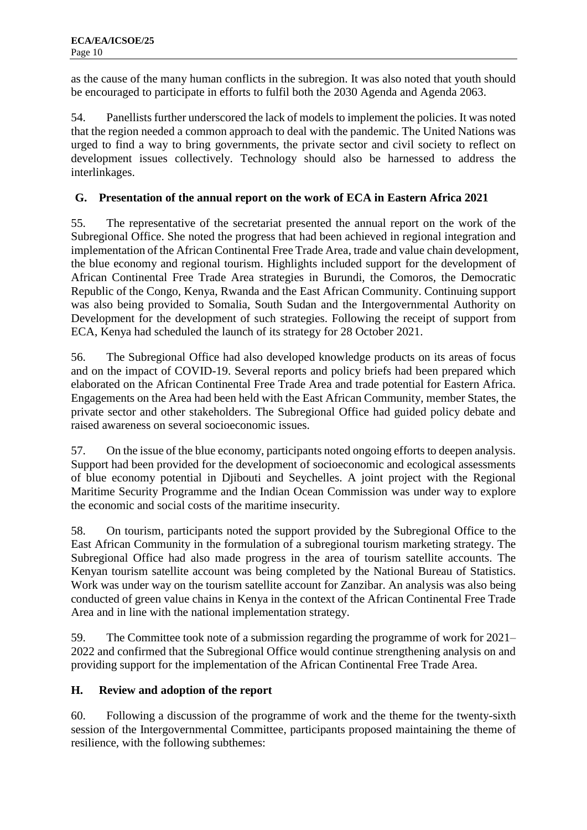as the cause of the many human conflicts in the subregion. It was also noted that youth should be encouraged to participate in efforts to fulfil both the 2030 Agenda and Agenda 2063.

54. Panellists further underscored the lack of models to implement the policies. It was noted that the region needed a common approach to deal with the pandemic. The United Nations was urged to find a way to bring governments, the private sector and civil society to reflect on development issues collectively. Technology should also be harnessed to address the interlinkages.

## **G. Presentation of the annual report on the work of ECA in Eastern Africa 2021**

55. The representative of the secretariat presented the annual report on the work of the Subregional Office. She noted the progress that had been achieved in regional integration and implementation of the African Continental Free Trade Area, trade and value chain development, the blue economy and regional tourism. Highlights included support for the development of African Continental Free Trade Area strategies in Burundi, the Comoros, the Democratic Republic of the Congo, Kenya, Rwanda and the East African Community. Continuing support was also being provided to Somalia, South Sudan and the Intergovernmental Authority on Development for the development of such strategies. Following the receipt of support from ECA, Kenya had scheduled the launch of its strategy for 28 October 2021.

56. The Subregional Office had also developed knowledge products on its areas of focus and on the impact of COVID-19. Several reports and policy briefs had been prepared which elaborated on the African Continental Free Trade Area and trade potential for Eastern Africa. Engagements on the Area had been held with the East African Community, member States, the private sector and other stakeholders. The Subregional Office had guided policy debate and raised awareness on several socioeconomic issues.

57. On the issue of the blue economy, participants noted ongoing efforts to deepen analysis. Support had been provided for the development of socioeconomic and ecological assessments of blue economy potential in Djibouti and Seychelles. A joint project with the Regional Maritime Security Programme and the Indian Ocean Commission was under way to explore the economic and social costs of the maritime insecurity.

58. On tourism, participants noted the support provided by the Subregional Office to the East African Community in the formulation of a subregional tourism marketing strategy. The Subregional Office had also made progress in the area of tourism satellite accounts. The Kenyan tourism satellite account was being completed by the National Bureau of Statistics. Work was under way on the tourism satellite account for Zanzibar. An analysis was also being conducted of green value chains in Kenya in the context of the African Continental Free Trade Area and in line with the national implementation strategy.

59. The Committee took note of a submission regarding the programme of work for 2021– 2022 and confirmed that the Subregional Office would continue strengthening analysis on and providing support for the implementation of the African Continental Free Trade Area.

## **H. Review and adoption of the report**

60. Following a discussion of the programme of work and the theme for the twenty-sixth session of the Intergovernmental Committee, participants proposed maintaining the theme of resilience, with the following subthemes: